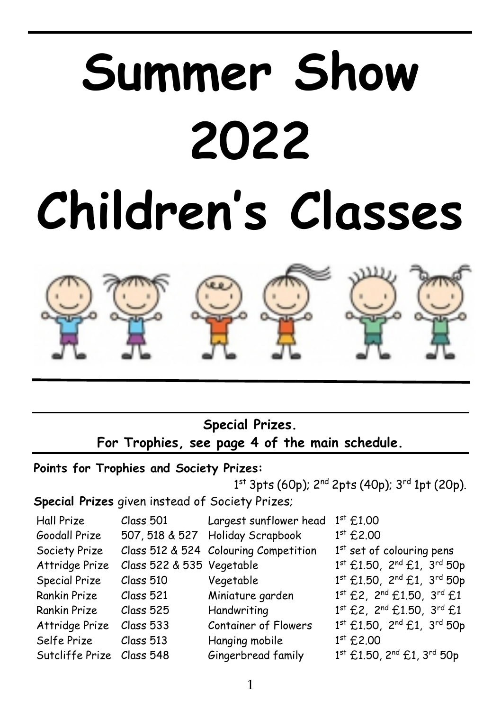# **Summer Show 2022 Children's Classes**



**Special Prizes. For Trophies, see page 4 of the main schedule.**

### **Points for Trophies and Society Prizes:**

 $1$ <sup>st</sup> 3pts (60p); 2<sup>nd</sup> 2pts (40p); 3<sup>rd</sup> 1pt (20p).

**Special Prizes** given instead of Society Prizes;

| Hall Prize                | Class 501                 | Largest sunflower head                | $1^{st}$ £1.00              |
|---------------------------|---------------------------|---------------------------------------|-----------------------------|
| Goodall Prize             |                           | 507, 518 & 527 Holiday Scrapbook      | $1st$ £2.00                 |
| Society Prize             |                           | Class 512 & 524 Colouring Competition | $1st$ set of colouring pens |
| Attridge Prize            | Class 522 & 535 Vegetable |                                       | 1st £1.50, 2nd £1, 3rd 50p  |
| Special Prize             | Class 510                 | Vegetable                             | 1st £1.50, 2nd £1, 3rd 50p  |
| Rankin Prize              | Class 521                 | Miniature garden                      | 1st £2, 2nd £1.50, 3rd £1   |
| Rankin Prize              | Class 525                 | Handwriting                           | 1st £2, 2nd £1.50, 3rd £1   |
| Attridge Prize            | Class 533                 | Container of Flowers                  | 1st £1.50, 2nd £1, 3rd 50p  |
| Selfe Prize               | Class 513                 | Hanging mobile                        | $1st$ £2.00                 |
| Sutcliffe Prize Class 548 |                           | Gingerbread family                    | 1st £1.50, 2nd £1, 3rd 50p  |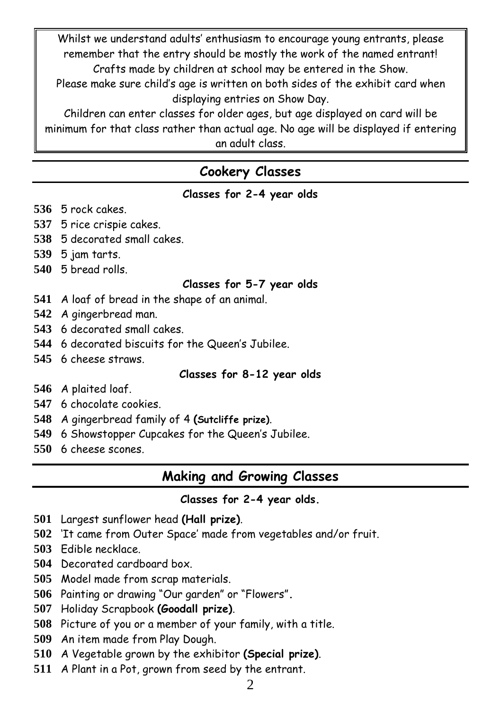Whilst we understand adults' enthusiasm to encourage young entrants, please remember that the entry should be mostly the work of the named entrant! Crafts made by children at school may be entered in the Show.

Please make sure child's age is written on both sides of the exhibit card when displaying entries on Show Day.

Children can enter classes for older ages, but age displayed on card will be minimum for that class rather than actual age. No age will be displayed if entering an adult class.

# **Cookery Classes**

| Classes for 2-4 year olds |  |  |  |  |
|---------------------------|--|--|--|--|
|---------------------------|--|--|--|--|

- 5 rock cakes.
- 5 rice crispie cakes.
- 5 decorated small cakes.
- 5 jam tarts.
- 5 bread rolls.

#### **Classes for 5-7 year olds**

- A loaf of bread in the shape of an animal.
- A gingerbread man.
- 6 decorated small cakes.
- 6 decorated biscuits for the Queen's Jubilee.
- 6 cheese straws.

#### **Classes for 8-12 year olds**

- A plaited loaf.
- 6 chocolate cookies.
- A gingerbread family of 4 **(Sutcliffe prize)**.
- 6 Showstopper Cupcakes for the Queen's Jubilee.
- 6 cheese scones.

## **Making and Growing Classes**

#### **Classes for 2-4 year olds.**

- Largest sunflower head **(Hall prize)**.
- 'It came from Outer Space' made from vegetables and/or fruit.
- Edible necklace.
- Decorated cardboard box.
- Model made from scrap materials.
- Painting or drawing "Our garden" or "Flowers"**.**
- Holiday Scrapbook **(Goodall prize)**.
- Picture of you or a member of your family, with a title.
- An item made from Play Dough.
- A Vegetable grown by the exhibitor **(Special prize)**.
- A Plant in a Pot, grown from seed by the entrant.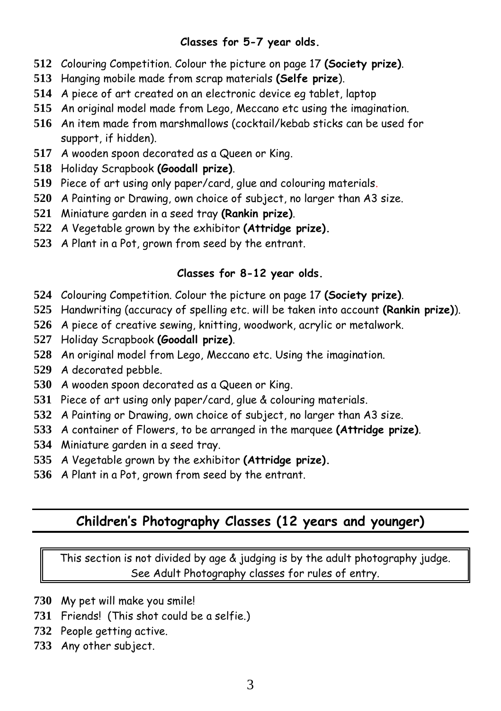#### **Classes for 5-7 year olds.**

- Colouring Competition. Colour the picture on page 17 **(Society prize)**.
- Hanging mobile made from scrap materials **(Selfe prize**).
- A piece of art created on an electronic device eg tablet, laptop
- An original model made from Lego, Meccano etc using the imagination.
- An item made from marshmallows (cocktail/kebab sticks can be used for support, if hidden).
- A wooden spoon decorated as a Queen or King.
- Holiday Scrapbook **(Goodall prize)**.
- Piece of art using only paper/card, glue and colouring materials.
- A Painting or Drawing, own choice of subject, no larger than A3 size.
- Miniature garden in a seed tray **(Rankin prize)**.
- A Vegetable grown by the exhibitor **(Attridge prize).**
- A Plant in a Pot, grown from seed by the entrant.

#### **Classes for 8-12 year olds.**

- Colouring Competition. Colour the picture on page 17 **(Society prize)**.
- Handwriting (accuracy of spelling etc. will be taken into account **(Rankin prize)**).
- A piece of creative sewing, knitting, woodwork, acrylic or metalwork.
- Holiday Scrapbook **(Goodall prize)**.
- An original model from Lego, Meccano etc. Using the imagination.
- A decorated pebble.
- A wooden spoon decorated as a Queen or King.
- Piece of art using only paper/card, glue & colouring materials.
- A Painting or Drawing, own choice of subject, no larger than A3 size.
- A container of Flowers, to be arranged in the marquee **(Attridge prize)**.
- Miniature garden in a seed tray.
- A Vegetable grown by the exhibitor **(Attridge prize).**
- A Plant in a Pot, grown from seed by the entrant.

# **Children's Photography Classes (12 years and younger)**

This section is not divided by age & judging is by the adult photography judge. See Adult Photography classes for rules of entry.

- My pet will make you smile!
- Friends! (This shot could be a selfie.)
- People getting active.
- Any other subject.